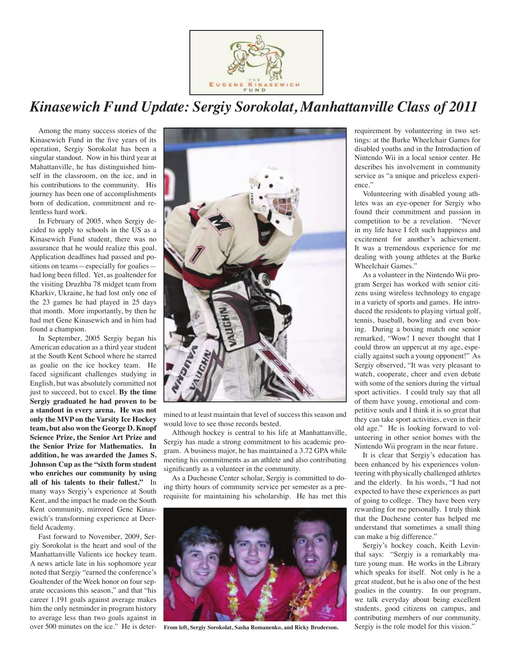

# *Kinasewich Fund Update: Sergiy Sorokolat, Manhattanville Class of 2011*

Among the many success stories of the Kinasewich Fund in the five years of its operation, Sergiy Sorokolat has been a singular standout. Now in his third year at Mahattanville, he has distinguished himself in the classroom, on the ice, and in his contributions to the community. His journey has been one of accomplishments born of dedication, commitment and relentless hard work.

In February of 2005, when Sergiy decided to apply to schools in the US as a Kinasewich Fund student, there was no assurance that he would realize this goal. Application deadlines had passed and positions on teams—especially for goalies had long been filled. Yet, as goaltender for the visiting Druzhba 78 midget team from Kharkiv, Ukraine, he had lost only one of the 23 games he had played in 25 days that month. More importantly, by then he had met Gene Kinasewich and in him had found a champion.

In September, 2005 Sergiy began his American education as a third year student at the South Kent School where he starred as goalie on the ice hockey team. He faced significant challenges studying in English, but was absolutely committed not just to succeed, but to excel. **By the time Sergiy graduated he had proven to be a standout in every arena. He was not only the MVP on the Varsity Ice Hockey team, but also won the George D. Knopf Science Prize, the Senior Art Prize and the Senior Prize for Mathematics. In addition, he was awarded the James S. Johnson Cup as the "sixth form student who enriches our community by using all of his talents to their fullest."** In many ways Sergiy's experience at South Kent, and the impact he made on the South Kent community, mirrored Gene Kinasewich's transforming experience at Deerfield Academy.

Fast forward to November, 2009, Sergiy Sorokolat is the heart and soul of the Manhattanville Valients ice hockey team. A news article late in his sophomore year noted that Sergiy "earned the conference's Goaltender of the Week honor on four separate occasions this season," and that "his career 1.191 goals against average makes him the only netminder in program history to average less than two goals against in over 500 minutes on the ice." He is deter-



mined to at least maintain that level of success this season and would love to see those records bested.

Although hockey is central to his life at Manhattanville, Sergiy has made a strong commitment to his academic program. A business major, he has maintained a 3.72 GPA while meeting his commitments as an athlete and also contributing significantly as a volunteer in the community.

As a Duchesne Center scholar, Sergiy is committed to doing thirty hours of community service per semester as a prerequisite for maintaining his scholarship. He has met this



**From left, Sergiy Sorokolat, Sasha Romanenko, and Ricky Broderson.**

requirement by volunteering in two settings: at the Burke Wheelchair Games for disabled youths and in the Introduction of Nintendo Wii in a local senior center. He describes his involvement in community service as "a unique and priceless experience."

Volunteering with disabled young athletes was an eye-opener for Sergiy who found their commitment and passion in competition to be a revelation. "Never in my life have I felt such happiness and excitement for another's achievement. It was a tremendous experience for me dealing with young athletes at the Burke Wheelchair Games."

As a volunteer in the Nintendo Wii program Sergei has worked with senior citizens using wireless technology to engage in a variety of sports and games. He introduced the residents to playing virtual golf, tennis, baseball, bowling and even boxing. During a boxing match one senior remarked, "Wow! I never thought that I could throw an uppercut at my age, especially against such a young opponent!" As Sergiy observed, "It was very pleasant to watch, cooperate, cheer and even debate with some of the seniors during the virtual sport activities. I could truly say that all of them have young, emotional and competitive souls and I think it is so great that they can take sport activities, even in their old age." He is looking forward to volunteering in other senior homes with the Nintendo Wii program in the near future.

It is clear that Sergiy's education has been enhanced by his experiences volunteering with physically challenged athletes and the elderly. In his words, "I had not expected to have these experiences as part of going to college. They have been very rewarding for me personally. I truly think that the Duchesne center has helped me understand that sometimes a small thing can make a big difference."

Sergiy's hockey coach, Keith Levinthal says: "Sergiy is a remarkably mature young man. He works in the Library which speaks for itself. Not only is he a great student, but he is also one of the best goalies in the country. In our program, we talk everyday about being excellent students, good citizens on campus, and contributing members of our community. Sergiy is the role model for this vision."